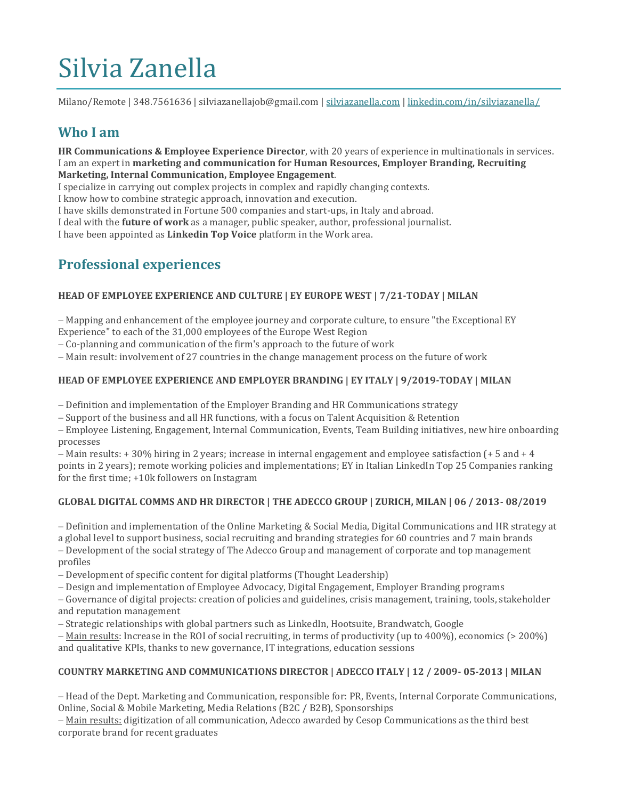# Silvia Zanella

Milano/Remote | 348.7561636 | silviazanellajob@gmail.com [| silviazanella.com](http://www.silviazanella.com/) | [linkedin.com/in/silviazanella/](https://www.linkedin.com/in/silviazanella/)

## **Who I am**

**HR Communications & Employee Experience Director**, with 20 years of experience in multinationals in services. I am an expert in **marketing and communication for Human Resources, Employer Branding, Recruiting Marketing, Internal Communication, Employee Engagement**.

I specialize in carrying out complex projects in complex and rapidly changing contexts.

I know how to combine strategic approach, innovation and execution.

I have skills demonstrated in Fortune 500 companies and start-ups, in Italy and abroad.

I deal with the **future of work** as a manager, public speaker, author, professional journalist.

I have been appointed as **Linkedin Top Voice** platform in the Work area.

# **Professional experiences**

#### **HEAD OF EMPLOYEE EXPERIENCE AND CULTURE | EY EUROPE WEST | 7/21-TODAY | MILAN**

− Mapping and enhancement of the employee journey and corporate culture, to ensure "the Exceptional EY Experience" to each of the 31,000 employees of the Europe West Region

− Co-planning and communication of the firm's approach to the future of work

− Main result: involvement of 27 countries in the change management process on the future of work

#### **HEAD OF EMPLOYEE EXPERIENCE AND EMPLOYER BRANDING | EY ITALY | 9/2019-TODAY | MILAN**

− Definition and implementation of the Employer Branding and HR Communications strategy

− Support of the business and all HR functions, with a focus on Talent Acquisition & Retention

− Employee Listening, Engagement, Internal Communication, Events, Team Building initiatives, new hire onboarding processes

− Main results: + 30% hiring in 2 years; increase in internal engagement and employee satisfaction (+ 5 and + 4 points in 2 years); remote working policies and implementations; EY in Italian LinkedIn Top 25 Companies ranking for the first time; +10k followers on Instagram

#### **GLOBAL DIGITAL COMMS AND HR DIRECTOR | THE ADECCO GROUP | ZURICH, MILAN | 06 / 2013- 08/2019**

− Definition and implementation of the Online Marketing & Social Media, Digital Communications and HR strategy at a global level to support business, social recruiting and branding strategies for 60 countries and 7 main brands

− Development of the social strategy of The Adecco Group and management of corporate and top management profiles

− Development of specific content for digital platforms (Thought Leadership)

− Design and implementation of Employee Advocacy, Digital Engagement, Employer Branding programs

− Governance of digital projects: creation of policies and guidelines, crisis management, training, tools, stakeholder and reputation management

− Strategic relationships with global partners such as LinkedIn, Hootsuite, Brandwatch, Google

− Main results: Increase in the ROI of social recruiting, in terms of productivity (up to 400%), economics (> 200%) and qualitative KPIs, thanks to new governance, IT integrations, education sessions

#### **COUNTRY MARKETING AND COMMUNICATIONS DIRECTOR | ADECCO ITALY | 12 / 2009- 05-2013 | MILAN**

− Head of the Dept. Marketing and Communication, responsible for: PR, Events, Internal Corporate Communications, Online, Social & Mobile Marketing, Media Relations (B2C / B2B), Sponsorships

− Main results: digitization of all communication, Adecco awarded by Cesop Communications as the third best corporate brand for recent graduates